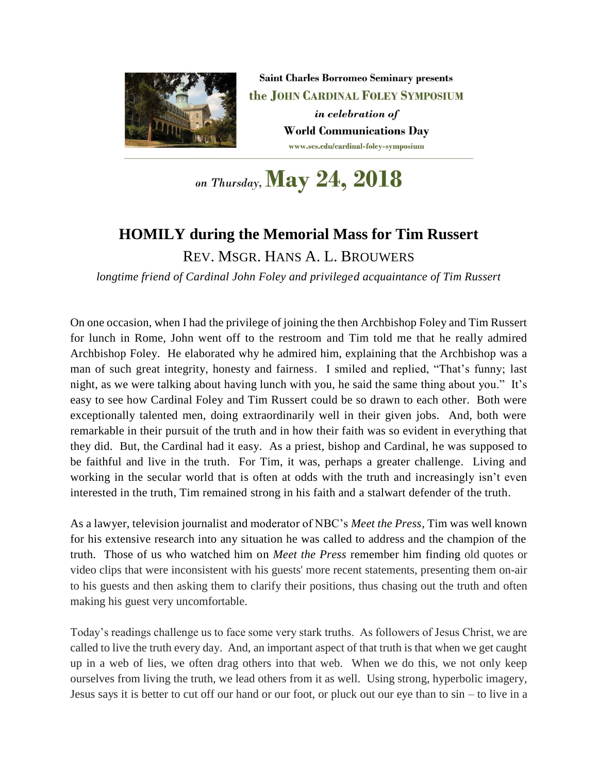

**Saint Charles Borromeo Seminary presents** the JOHN CARDINAL FOLEY SYMPOSIUM in celebration of **World Communications Day** www.scs.edu/cardinal-foley-symposium

on Thursday, May 24, 2018

## **HOMILY during the Memorial Mass for Tim Russert**

REV. MSGR. HANS A. L. BROUWERS

*longtime friend of Cardinal John Foley and privileged acquaintance of Tim Russert*

On one occasion, when I had the privilege of joining the then Archbishop Foley and Tim Russert for lunch in Rome, John went off to the restroom and Tim told me that he really admired Archbishop Foley. He elaborated why he admired him, explaining that the Archbishop was a man of such great integrity, honesty and fairness. I smiled and replied, "That's funny; last night, as we were talking about having lunch with you, he said the same thing about you." It's easy to see how Cardinal Foley and Tim Russert could be so drawn to each other. Both were exceptionally talented men, doing extraordinarily well in their given jobs. And, both were remarkable in their pursuit of the truth and in how their faith was so evident in everything that they did. But, the Cardinal had it easy. As a priest, bishop and Cardinal, he was supposed to be faithful and live in the truth. For Tim, it was, perhaps a greater challenge. Living and working in the secular world that is often at odds with the truth and increasingly isn't even interested in the truth, Tim remained strong in his faith and a stalwart defender of the truth.

As a lawyer, television journalist and moderator of NBC's *Meet the Press*, Tim was well known for his extensive research into any situation he was called to address and the champion of the truth. Those of us who watched him on *Meet the Press* remember him finding old quotes or video clips that were inconsistent with his guests' more recent statements, presenting them on-air to his guests and then asking them to clarify their positions, thus chasing out the truth and often making his guest very uncomfortable.

Today's readings challenge us to face some very stark truths. As followers of Jesus Christ, we are called to live the truth every day. And, an important aspect of that truth is that when we get caught up in a web of lies, we often drag others into that web. When we do this, we not only keep ourselves from living the truth, we lead others from it as well. Using strong, hyperbolic imagery, Jesus says it is better to cut off our hand or our foot, or pluck out our eye than to sin – to live in a